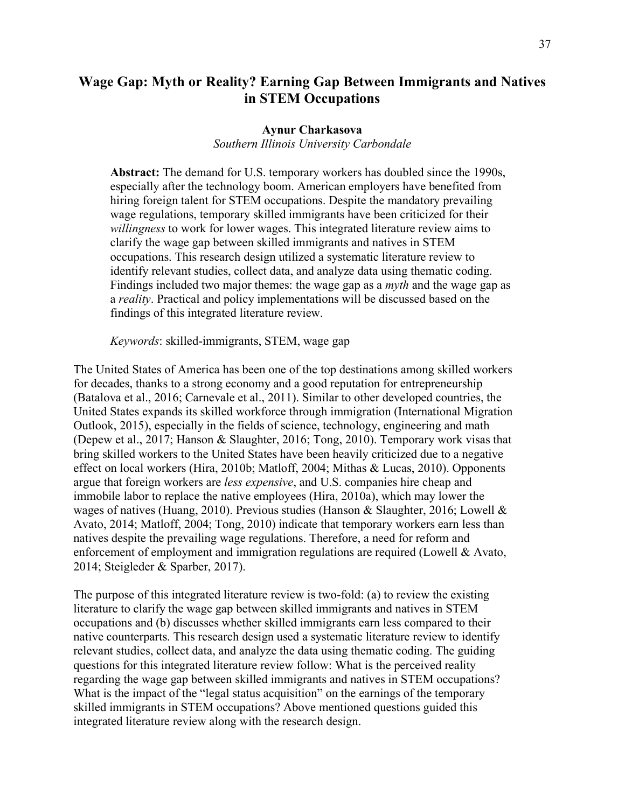# **Wage Gap: Myth or Reality? Earning Gap Between Immigrants and Natives in STEM Occupations**

## **Aynur Charkasova**

## *Southern Illinois University Carbondale*

**Abstract:** The demand for U.S. temporary workers has doubled since the 1990s, especially after the technology boom. American employers have benefited from hiring foreign talent for STEM occupations. Despite the mandatory prevailing wage regulations, temporary skilled immigrants have been criticized for their *willingness* to work for lower wages. This integrated literature review aims to clarify the wage gap between skilled immigrants and natives in STEM occupations. This research design utilized a systematic literature review to identify relevant studies, collect data, and analyze data using thematic coding. Findings included two major themes: the wage gap as a *myth* and the wage gap as a *reality*. Practical and policy implementations will be discussed based on the findings of this integrated literature review.

*Keywords*: skilled-immigrants, STEM, wage gap

The United States of America has been one of the top destinations among skilled workers for decades, thanks to a strong economy and a good reputation for entrepreneurship (Batalova et al., 2016; Carnevale et al., 2011). Similar to other developed countries, the United States expands its skilled workforce through immigration (International Migration Outlook, 2015), especially in the fields of science, technology, engineering and math (Depew et al., 2017; Hanson & Slaughter, 2016; Tong, 2010). Temporary work visas that bring skilled workers to the United States have been heavily criticized due to a negative effect on local workers (Hira, 2010b; Matloff, 2004; Mithas & Lucas, 2010). Opponents argue that foreign workers are *less expensive*, and U.S. companies hire cheap and immobile labor to replace the native employees (Hira, 2010a), which may lower the wages of natives (Huang, 2010). Previous studies (Hanson & Slaughter, 2016; Lowell & Avato, 2014; Matloff, 2004; Tong, 2010) indicate that temporary workers earn less than natives despite the prevailing wage regulations. Therefore, a need for reform and enforcement of employment and immigration regulations are required (Lowell & Avato, 2014; Steigleder & Sparber, 2017).

The purpose of this integrated literature review is two-fold: (a) to review the existing literature to clarify the wage gap between skilled immigrants and natives in STEM occupations and (b) discusses whether skilled immigrants earn less compared to their native counterparts. This research design used a systematic literature review to identify relevant studies, collect data, and analyze the data using thematic coding. The guiding questions for this integrated literature review follow: What is the perceived reality regarding the wage gap between skilled immigrants and natives in STEM occupations? What is the impact of the "legal status acquisition" on the earnings of the temporary skilled immigrants in STEM occupations? Above mentioned questions guided this integrated literature review along with the research design.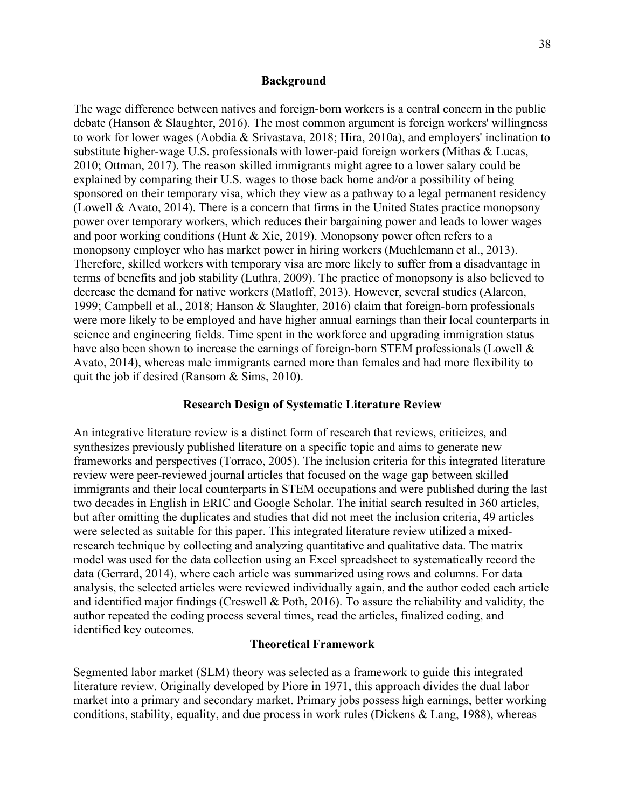#### **Background**

The wage difference between natives and foreign-born workers is a central concern in the public debate (Hanson & Slaughter, 2016). The most common argument is foreign workers' willingness to work for lower wages (Aobdia & Srivastava, 2018; Hira, 2010a), and employers' inclination to substitute higher-wage U.S. professionals with lower-paid foreign workers (Mithas & Lucas, 2010; Ottman, 2017). The reason skilled immigrants might agree to a lower salary could be explained by comparing their U.S. wages to those back home and/or a possibility of being sponsored on their temporary visa, which they view as a pathway to a legal permanent residency (Lowell & Avato, 2014). There is a concern that firms in the United States practice monopsony power over temporary workers, which reduces their bargaining power and leads to lower wages and poor working conditions (Hunt & Xie, 2019). Monopsony power often refers to a monopsony employer who has market power in hiring workers (Muehlemann et al., 2013). Therefore, skilled workers with temporary visa are more likely to suffer from a disadvantage in terms of benefits and job stability (Luthra, 2009). The practice of monopsony is also believed to decrease the demand for native workers (Matloff, 2013). However, several studies (Alarcon, 1999; Campbell et al., 2018; Hanson & Slaughter, 2016) claim that foreign-born professionals were more likely to be employed and have higher annual earnings than their local counterparts in science and engineering fields. Time spent in the workforce and upgrading immigration status have also been shown to increase the earnings of foreign-born STEM professionals (Lowell & Avato, 2014), whereas male immigrants earned more than females and had more flexibility to quit the job if desired (Ransom & Sims, 2010).

## **Research Design of Systematic Literature Review**

An integrative literature review is a distinct form of research that reviews, criticizes, and synthesizes previously published literature on a specific topic and aims to generate new frameworks and perspectives (Torraco, 2005). The inclusion criteria for this integrated literature review were peer-reviewed journal articles that focused on the wage gap between skilled immigrants and their local counterparts in STEM occupations and were published during the last two decades in English in ERIC and Google Scholar. The initial search resulted in 360 articles, but after omitting the duplicates and studies that did not meet the inclusion criteria, 49 articles were selected as suitable for this paper. This integrated literature review utilized a mixedresearch technique by collecting and analyzing quantitative and qualitative data. The matrix model was used for the data collection using an Excel spreadsheet to systematically record the data (Gerrard, 2014), where each article was summarized using rows and columns. For data analysis, the selected articles were reviewed individually again, and the author coded each article and identified major findings (Creswell & Poth, 2016). To assure the reliability and validity, the author repeated the coding process several times, read the articles, finalized coding, and identified key outcomes.

#### **Theoretical Framework**

Segmented labor market (SLM) theory was selected as a framework to guide this integrated literature review. Originally developed by Piore in 1971, this approach divides the dual labor market into a primary and secondary market. Primary jobs possess high earnings, better working conditions, stability, equality, and due process in work rules (Dickens & Lang, 1988), whereas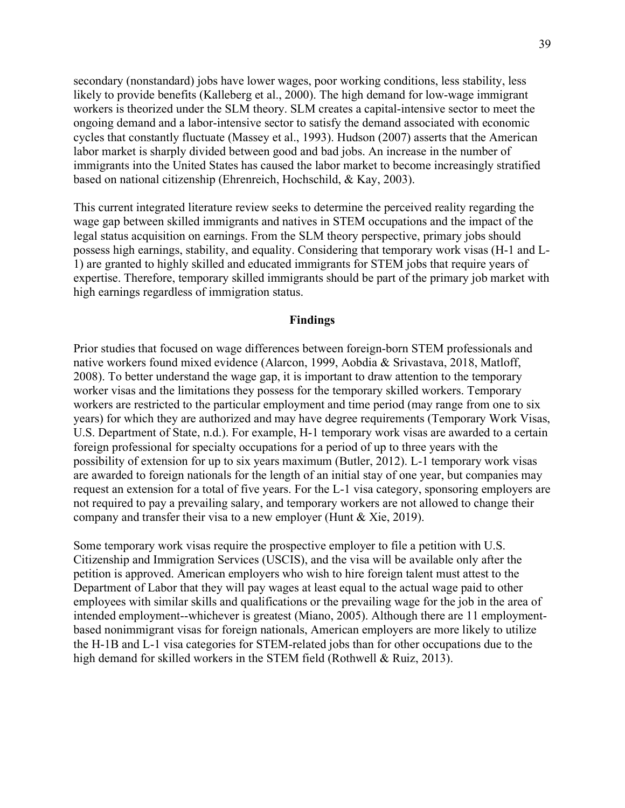secondary (nonstandard) jobs have lower wages, poor working conditions, less stability, less likely to provide benefits (Kalleberg et al., 2000). The high demand for low-wage immigrant workers is theorized under the SLM theory. SLM creates a capital-intensive sector to meet the ongoing demand and a labor-intensive sector to satisfy the demand associated with economic cycles that constantly fluctuate (Massey et al., 1993). Hudson (2007) asserts that the American labor market is sharply divided between good and bad jobs. An increase in the number of immigrants into the United States has caused the labor market to become increasingly stratified based on national citizenship (Ehrenreich, Hochschild, & Kay, 2003).

This current integrated literature review seeks to determine the perceived reality regarding the wage gap between skilled immigrants and natives in STEM occupations and the impact of the legal status acquisition on earnings. From the SLM theory perspective, primary jobs should possess high earnings, stability, and equality. Considering that temporary work visas (H-1 and L-1) are granted to highly skilled and educated immigrants for STEM jobs that require years of expertise. Therefore, temporary skilled immigrants should be part of the primary job market with high earnings regardless of immigration status.

## **Findings**

Prior studies that focused on wage differences between foreign-born STEM professionals and native workers found mixed evidence (Alarcon, 1999, Aobdia & Srivastava, 2018, Matloff, 2008). To better understand the wage gap, it is important to draw attention to the temporary worker visas and the limitations they possess for the temporary skilled workers. Temporary workers are restricted to the particular employment and time period (may range from one to six years) for which they are authorized and may have degree requirements (Temporary Work Visas, U.S. Department of State, n.d.). For example, H-1 temporary work visas are awarded to a certain foreign professional for specialty occupations for a period of up to three years with the possibility of extension for up to six years maximum (Butler, 2012). L-1 temporary work visas are awarded to foreign nationals for the length of an initial stay of one year, but companies may request an extension for a total of five years. For the L-1 visa category, sponsoring employers are not required to pay a prevailing salary, and temporary workers are not allowed to change their company and transfer their visa to a new employer (Hunt & Xie, 2019).

Some temporary work visas require the prospective employer to file a petition with U.S. Citizenship and Immigration Services (USCIS), and the visa will be available only after the petition is approved. American employers who wish to hire foreign talent must attest to the Department of Labor that they will pay wages at least equal to the actual wage paid to other employees with similar skills and qualifications or the prevailing wage for the job in the area of intended employment--whichever is greatest (Miano, 2005). Although there are 11 employmentbased nonimmigrant visas for foreign nationals, American employers are more likely to utilize the H-1B and L-1 visa categories for STEM-related jobs than for other occupations due to the high demand for skilled workers in the STEM field (Rothwell & Ruiz, 2013).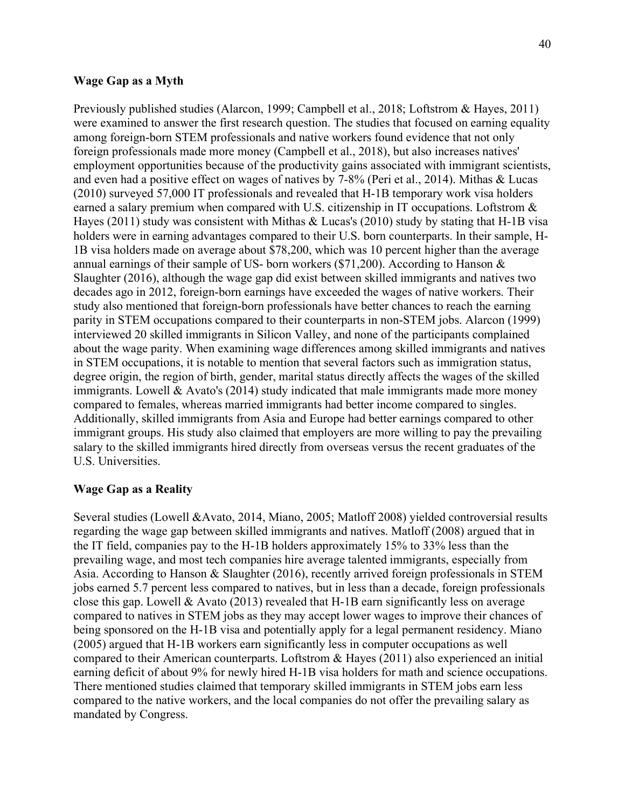#### **Wage Gap as a Myth**

Previously published studies (Alarcon, 1999; Campbell et al., 2018; Loftstrom & Hayes, 2011) were examined to answer the first research question. The studies that focused on earning equality among foreign-born STEM professionals and native workers found evidence that not only foreign professionals made more money (Campbell et al., 2018), but also increases natives' employment opportunities because of the productivity gains associated with immigrant scientists, and even had a positive effect on wages of natives by 7-8% (Peri et al., 2014). Mithas & Lucas (2010) surveyed 57,000 IT professionals and revealed that H-1B temporary work visa holders earned a salary premium when compared with U.S. citizenship in IT occupations. Loftstrom & Hayes (2011) study was consistent with Mithas & Lucas's (2010) study by stating that H-1B visa holders were in earning advantages compared to their U.S. born counterparts. In their sample, H-1B visa holders made on average about \$78,200, which was 10 percent higher than the average annual earnings of their sample of US- born workers (\$71,200). According to Hanson & Slaughter (2016), although the wage gap did exist between skilled immigrants and natives two decades ago in 2012, foreign-born earnings have exceeded the wages of native workers. Their study also mentioned that foreign-born professionals have better chances to reach the earning parity in STEM occupations compared to their counterparts in non-STEM jobs. Alarcon (1999) interviewed 20 skilled immigrants in Silicon Valley, and none of the participants complained about the wage parity. When examining wage differences among skilled immigrants and natives in STEM occupations, it is notable to mention that several factors such as immigration status, degree origin, the region of birth, gender, marital status directly affects the wages of the skilled immigrants. Lowell  $& Avato's (2014) study indicated that male impigrams made more money$ compared to females, whereas married immigrants had better income compared to singles. Additionally, skilled immigrants from Asia and Europe had better earnings compared to other immigrant groups. His study also claimed that employers are more willing to pay the prevailing salary to the skilled immigrants hired directly from overseas versus the recent graduates of the U.S. Universities.

#### **Wage Gap as a Reality**

Several studies (Lowell &Avato, 2014, Miano, 2005; Matloff 2008) yielded controversial results regarding the wage gap between skilled immigrants and natives. Matloff (2008) argued that in the IT field, companies pay to the H-1B holders approximately 15% to 33% less than the prevailing wage, and most tech companies hire average talented immigrants, especially from Asia. According to Hanson & Slaughter (2016), recently arrived foreign professionals in STEM jobs earned 5.7 percent less compared to natives, but in less than a decade, foreign professionals close this gap. Lowell & Avato (2013) revealed that H-1B earn significantly less on average compared to natives in STEM jobs as they may accept lower wages to improve their chances of being sponsored on the H-1B visa and potentially apply for a legal permanent residency. Miano (2005) argued that H-1B workers earn significantly less in computer occupations as well compared to their American counterparts. Loftstrom & Hayes (2011) also experienced an initial earning deficit of about 9% for newly hired H-1B visa holders for math and science occupations. There mentioned studies claimed that temporary skilled immigrants in STEM jobs earn less compared to the native workers, and the local companies do not offer the prevailing salary as mandated by Congress.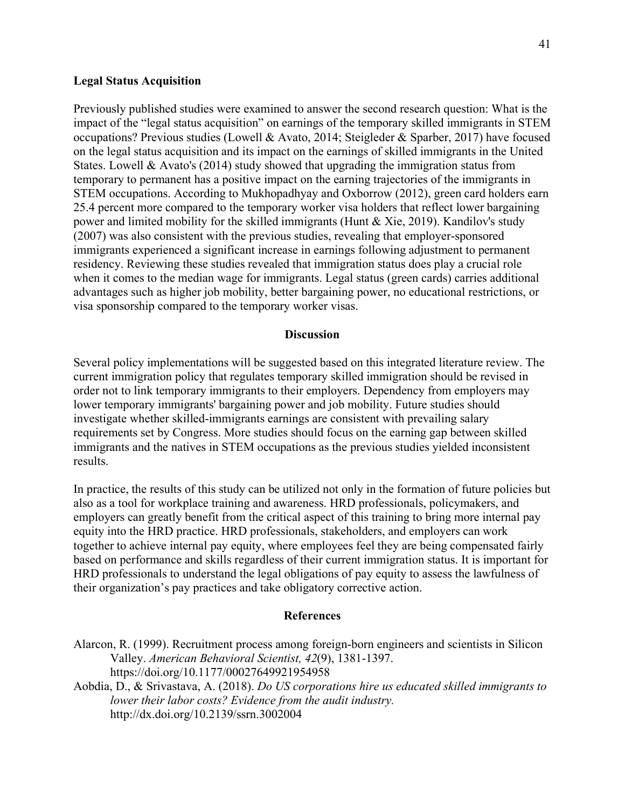#### **Legal Status Acquisition**

Previously published studies were examined to answer the second research question: What is the impact of the "legal status acquisition" on earnings of the temporary skilled immigrants in STEM occupations? Previous studies (Lowell & Avato, 2014; Steigleder & Sparber, 2017) have focused on the legal status acquisition and its impact on the earnings of skilled immigrants in the United States. Lowell & Avato's (2014) study showed that upgrading the immigration status from temporary to permanent has a positive impact on the earning trajectories of the immigrants in STEM occupations. According to Mukhopadhyay and Oxborrow (2012), green card holders earn 25.4 percent more compared to the temporary worker visa holders that reflect lower bargaining power and limited mobility for the skilled immigrants (Hunt  $\&$  Xie, 2019). Kandilov's study (2007) was also consistent with the previous studies, revealing that employer-sponsored immigrants experienced a significant increase in earnings following adjustment to permanent residency. Reviewing these studies revealed that immigration status does play a crucial role when it comes to the median wage for immigrants. Legal status (green cards) carries additional advantages such as higher job mobility, better bargaining power, no educational restrictions, or visa sponsorship compared to the temporary worker visas.

## **Discussion**

Several policy implementations will be suggested based on this integrated literature review. The current immigration policy that regulates temporary skilled immigration should be revised in order not to link temporary immigrants to their employers. Dependency from employers may lower temporary immigrants' bargaining power and job mobility. Future studies should investigate whether skilled-immigrants earnings are consistent with prevailing salary requirements set by Congress. More studies should focus on the earning gap between skilled immigrants and the natives in STEM occupations as the previous studies yielded inconsistent results.

In practice, the results of this study can be utilized not only in the formation of future policies but also as a tool for workplace training and awareness. HRD professionals, policymakers, and employers can greatly benefit from the critical aspect of this training to bring more internal pay equity into the HRD practice. HRD professionals, stakeholders, and employers can work together to achieve internal pay equity, where employees feel they are being compensated fairly based on performance and skills regardless of their current immigration status. It is important for HRD professionals to understand the legal obligations of pay equity to assess the lawfulness of their organization's pay practices and take obligatory corrective action.

#### **References**

| Alarcon, R. (1999). Recruitment process among foreign-born engineers and scientists in Silicon |
|------------------------------------------------------------------------------------------------|
| Valley. American Behavioral Scientist, 42(9), 1381-1397.                                       |
| https://doi.org/10.1177/00027649921954958                                                      |
| Aobdia, D., & Srivastava, A. (2018). Do US corporations hire us educated skilled immigrants to |
|                                                                                                |

*lower their labor costs? Evidence from the audit industry.*  [http://dx.doi.org/10.2139/ssrn.3002004](https://dx.doi.org/10.2139/ssrn.3002004)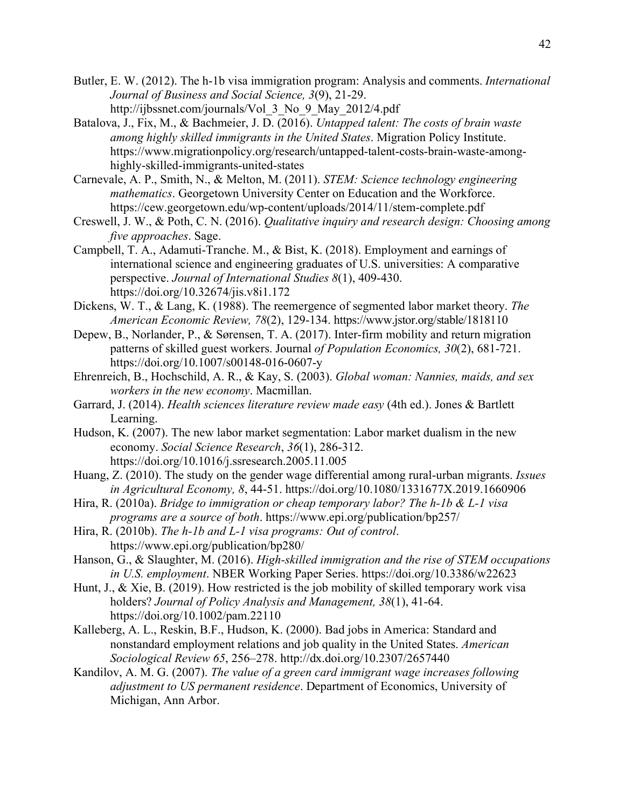- Butler, E. W. (2012). The h-1b visa immigration program: Analysis and comments. *International Journal of Business and Social Science, 3*(9), 21-29. http://ijbssnet.com/journals/Vol\_3\_No\_9\_May\_2012/4.pdf
- Batalova, J., Fix, M., & Bachmeier, J. D. (2016). *Untapped talent: The costs of brain waste among highly skilled immigrants in the United States*. Migration Policy Institute. https://www.migrationpolicy.org/research/untapped-talent-costs-brain-waste-amonghighly-skilled-immigrants-united-states
- Carnevale, A. P., Smith, N., & Melton, M. (2011). *STEM: Science technology engineering mathematics*. Georgetown University Center on Education and the Workforce. https://cew.georgetown.edu/wp-content/uploads/2014/11/stem-complete.pdf
- Creswell, J. W., & Poth, C. N. (2016). *Qualitative inquiry and research design: Choosing among five approaches*. Sage.
- Campbell, T. A., Adamuti-Tranche. M., & Bist, K. (2018). Employment and earnings of international science and engineering graduates of U.S. universities: A comparative perspective. *Journal of International Studies 8*(1), 409-430. <https://doi.org/10.32674/jis.v8i1.172>
- Dickens, W. T., & Lang, K. (1988). The reemergence of segmented labor market theory. *The American Economic Review, 78*(2), 129-134. https://www.jstor.org/stable/1818110
- Depew, B., Norlander, P., & Sørensen, T. A. (2017). Inter-firm mobility and return migration patterns of skilled guest workers. Journal *of Population Economics, 30*(2), 681-721. https://doi.org[/10.1007/s00148-016-0607-y](https://econpapers.repec.org/scripts/redir.pf?u=https%3A%2F%2Fdoi.org%2F10.1007%252Fs00148-016-0607-y;h=repec:spr:jopoec:v:30:y:2017:i:2:d:10.1007_s00148-016-0607-y)
- Ehrenreich, B., Hochschild, A. R., & Kay, S. (2003). *Global woman: Nannies, maids, and sex workers in the new economy*. Macmillan.
- Garrard, J. (2014). *Health sciences literature review made easy* (4th ed.). Jones & Bartlett Learning.
- Hudson, K. (2007). The new labor market segmentation: Labor market dualism in the new economy. *Social Science Research*, *36*(1), 286-312. <https://doi.org/10.1016/j.ssresearch.2005.11.005>
- Huang, Z. (2010). The study on the gender wage differential among rural-urban migrants. *Issues in Agricultural Economy, 8*, 44-51.<https://doi.org/10.1080/1331677X.2019.1660906>
- Hira, R. (2010a). *Bridge to immigration or cheap temporary labor? The h-1b & L-1 visa programs are a source of both*.<https://www.epi.org/publication/bp257/>
- Hira, R. (2010b). *The h-1b and L-1 visa programs: Out of control*. <https://www.epi.org/publication/bp280/>
- Hanson, G., & Slaughter, M. (2016). *High-skilled immigration and the rise of STEM occupations in U.S. employment*. NBER Working Paper Series. https://doi.org/10.3386/w22623
- Hunt, J., & Xie, B. (2019). How restricted is the job mobility of skilled temporary work visa holders? *Journal of Policy Analysis and Management, 38*(1), 41-64. <https://doi.org/10.1002/pam.22110>
- Kalleberg, A. L., Reskin, B.F., Hudson, K. (2000). Bad jobs in America: Standard and nonstandard employment relations and job quality in the United States. *American Sociological Review 65*, 256–278.<http://dx.doi.org/10.2307/2657440>
- Kandilov, A. M. G. (2007). *The value of a green card immigrant wage increases following adjustment to US permanent residence*. Department of Economics, University of Michigan, Ann Arbor.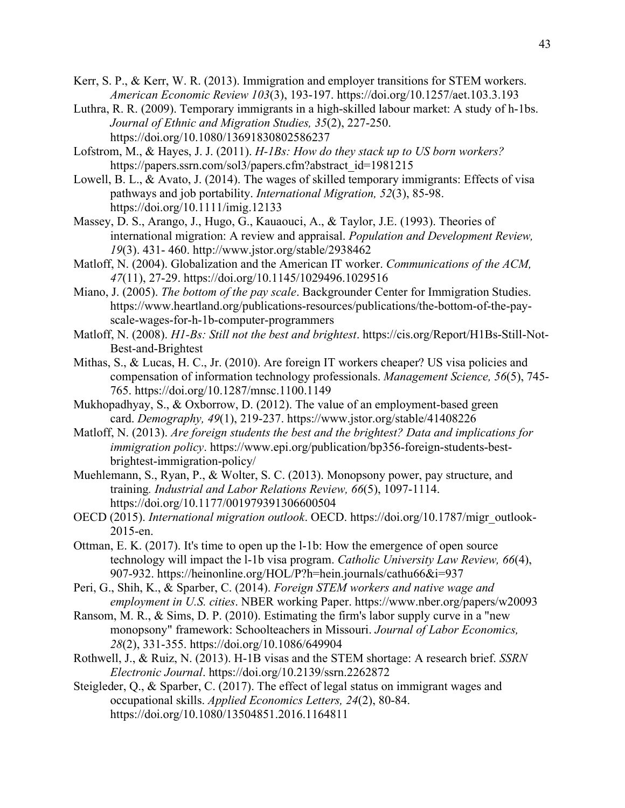- Kerr, S. P., & Kerr, W. R. (2013). Immigration and employer transitions for STEM workers. *American Economic Review 103*(3), 193-197. https://doi.org/10.1257/aet.103.3.193
- Luthra, R. R. (2009). Temporary immigrants in a high-skilled labour market: A study of h-1bs. *Journal of Ethnic and Migration Studies, 35*(2), 227-250. <https://doi.org/10.1080/13691830802586237>
- Lofstrom, M., & Hayes, J. J. (2011). *H-1Bs: How do they stack up to US born workers?* https://papers.ssrn.com/sol3/papers.cfm?abstract\_id=1981215
- Lowell, B. L., & Avato, J. (2014). The wages of skilled temporary immigrants: Effects of visa pathways and job portability. *International Migration, 52*(3), 85-98. https://doi.org/10.1111/imig.12133
- Massey, D. S., Arango, J., Hugo, G., Kauaouci, A., & Taylor, J.E. (1993). Theories of international migration: A review and appraisal. *Population and Development Review, 19*(3). 431- 460. http://www.jstor.org/stable/2938462
- Matloff, N. (2004). Globalization and the American IT worker. *Communications of the ACM, 47*(11), 27-29. https://doi.org/10.1145/1029496.1029516
- Miano, J. (2005). *The bottom of the pay scale*. Backgrounder Center for Immigration Studies. https://www.heartland.org/publications-resources/publications/the-bottom-of-the-payscale-wages-for-h-1b-computer-programmers
- Matloff, N. (2008). *H1-Bs: Still not the best and brightest*. [https://cis.org/Report/H1Bs-Still-Not-](https://cis.org/Report/H1Bs-Still-Not-Best-and-Brightest)[Best-and-Brightest](https://cis.org/Report/H1Bs-Still-Not-Best-and-Brightest)
- Mithas, S., & Lucas, H. C., Jr. (2010). Are foreign IT workers cheaper? US visa policies and compensation of information technology professionals. *Management Science, 56*(5), 745- 765.<https://doi.org/10.1287/mnsc.1100.1149>
- Mukhopadhyay, S., & Oxborrow, D. (2012). The value of an employment-based green card. *Demography, 49*(1), 219-237. https://www.jstor.org/stable/41408226
- Matloff, N. (2013). *Are foreign students the best and the brightest? Data and implications for immigration policy*. https://www.epi.org/publication/bp356-foreign-students-bestbrightest-immigration-policy/
- Muehlemann, S., Ryan, P., & Wolter, S. C. (2013). Monopsony power, pay structure, and training*. Industrial and Labor Relations Review, 66*(5), 1097-1114. [https://doi.org/10.1177/001979391306600504](https://doi.org/10.1177%2F001979391306600504)
- OECD (2015). *International migration outlook*. OECD. [https://doi.org/10.1787/migr\\_outlook-](https://doi.org/10.1787/migr_outlook-2015-en)[2015-en.](https://doi.org/10.1787/migr_outlook-2015-en)
- Ottman, E. K. (2017). It's time to open up the l-1b: How the emergence of open source technology will impact the l-1b visa program. *Catholic University Law Review, 66*(4), 907-932. https://heinonline.org/HOL/P?h=hein.journals/cathu66&i=937
- Peri, G., Shih, K., & Sparber, C. (2014). *Foreign STEM workers and native wage and employment in U.S. cities*. NBER working Paper.<https://www.nber.org/papers/w20093>
- Ransom, M. R., & Sims, D. P. (2010). Estimating the firm's labor supply curve in a "new monopsony" framework: Schoolteachers in Missouri. *Journal of Labor Economics, 28*(2), 331-355.<https://doi.org/10.1086/649904>
- Rothwell, J., & Ruiz, N. (2013). H-1B visas and the STEM shortage: A research brief. *SSRN Electronic Journal*. https://doi.org/10.2139/ssrn.2262872
- Steigleder, Q., & Sparber, C. (2017). The effect of legal status on immigrant wages and occupational skills. *Applied Economics Letters, 24*(2), 80-84. <https://doi.org/10.1080/13504851.2016.1164811>